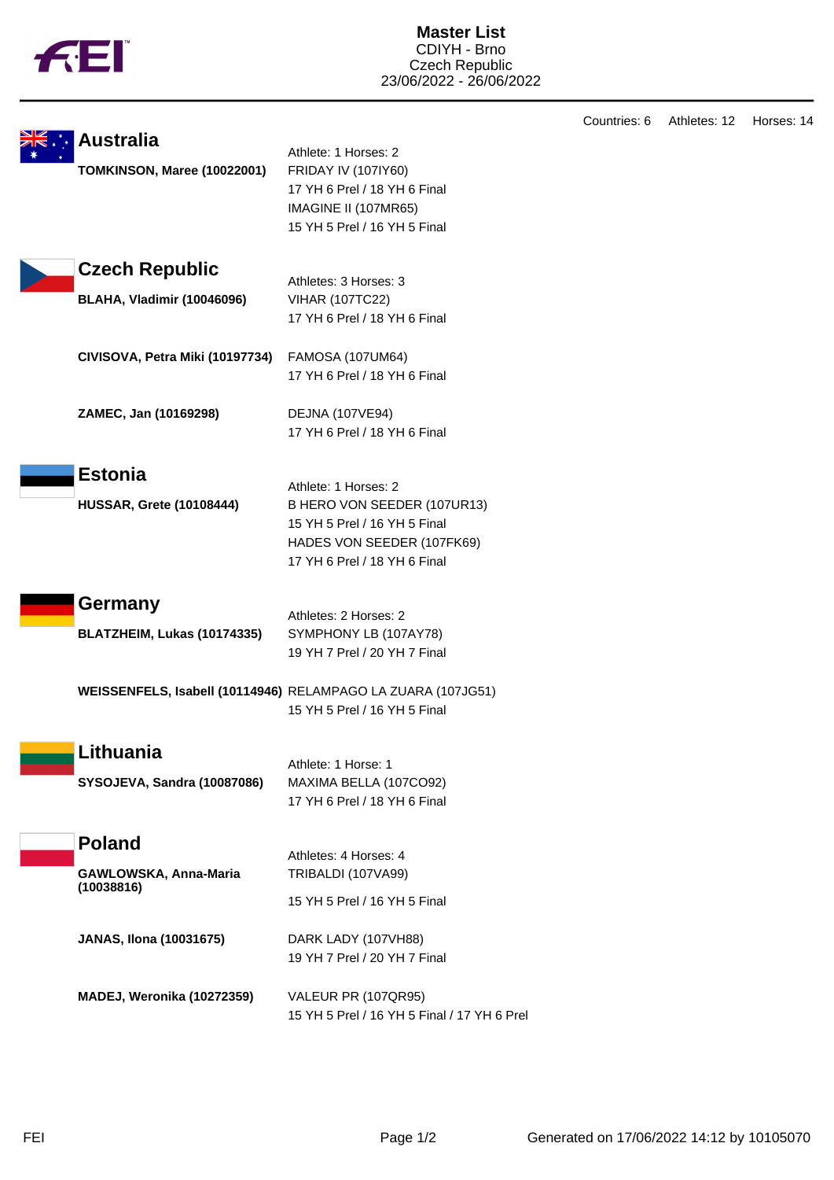|  | TМ |
|--|----|
|  |    |
|  |    |
|  |    |

Countries: 6 Athletes: 12 Horses: 14

| <b>Australia</b>                    |                                                              |  |
|-------------------------------------|--------------------------------------------------------------|--|
| TOMKINSON, Maree (10022001)         | Athlete: 1 Horses: 2<br>FRIDAY IV (107IY60)                  |  |
|                                     | 17 YH 6 Prel / 18 YH 6 Final                                 |  |
|                                     | IMAGINE II (107MR65)                                         |  |
|                                     | 15 YH 5 Prel / 16 YH 5 Final                                 |  |
|                                     |                                                              |  |
| <b>Czech Republic</b>               | Athletes: 3 Horses: 3                                        |  |
| <b>BLAHA, Vladimir (10046096)</b>   | <b>VIHAR (107TC22)</b>                                       |  |
|                                     | 17 YH 6 Prel / 18 YH 6 Final                                 |  |
| CIVISOVA, Petra Miki (10197734)     | FAMOSA (107UM64)                                             |  |
|                                     | 17 YH 6 Prel / 18 YH 6 Final                                 |  |
| ZAMEC, Jan (10169298)               | <b>DEJNA (107VE94)</b>                                       |  |
|                                     | 17 YH 6 Prel / 18 YH 6 Final                                 |  |
| <b>Estonia</b>                      |                                                              |  |
|                                     | Athlete: 1 Horses: 2                                         |  |
| <b>HUSSAR, Grete (10108444)</b>     | B HERO VON SEEDER (107UR13)                                  |  |
|                                     | 15 YH 5 Prel / 16 YH 5 Final                                 |  |
|                                     | HADES VON SEEDER (107FK69)                                   |  |
|                                     | 17 YH 6 Prel / 18 YH 6 Final                                 |  |
| Germany                             | Athletes: 2 Horses: 2                                        |  |
| BLATZHEIM, Lukas (10174335)         | SYMPHONY LB (107AY78)                                        |  |
|                                     | 19 YH 7 Prel / 20 YH 7 Final                                 |  |
|                                     | WEISSENFELS, Isabell (10114946) RELAMPAGO LA ZUARA (107JG51) |  |
|                                     | 15 YH 5 Prel / 16 YH 5 Final                                 |  |
|                                     |                                                              |  |
| Lithuania                           | Athlete: 1 Horse: 1                                          |  |
| SYSOJEVA, Sandra (10087086)         | MAXIMA BELLA (107CO92)                                       |  |
|                                     | 17 YH 6 Prel / 18 YH 6 Final                                 |  |
| <b>Poland</b>                       |                                                              |  |
|                                     | Athletes: 4 Horses: 4                                        |  |
| GAWLOWSKA, Anna-Maria<br>(10038816) | TRIBALDI (107VA99)                                           |  |
|                                     | 15 YH 5 Prel / 16 YH 5 Final                                 |  |
| <b>JANAS, Ilona (10031675)</b>      | DARK LADY (107VH88)                                          |  |
|                                     | 19 YH 7 Prel / 20 YH 7 Final                                 |  |
| MADEJ, Weronika (10272359)          | VALEUR PR (107QR95)                                          |  |
|                                     | 15 YH 5 Prel / 16 YH 5 Final / 17 YH 6 Prel                  |  |
|                                     |                                                              |  |